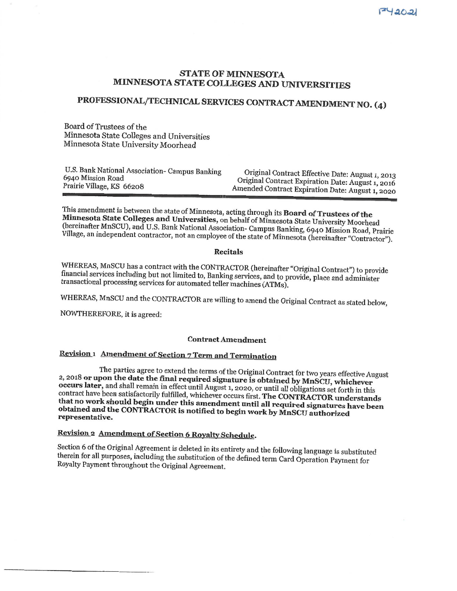### **STATE OF MINNESOTA** MINNESOTA STATE COLLEGES AND UNIVERSITIES

# PROFESSIONAL/TECHNICAL SERVICES CONTRACT AMENDMENT NO. (4)

Board of Trustees of the Minnesota State Colleges and Universities Minnesota State University Moorhead

| U.S. Bank National Association- Campus Banking | Original Contract Effective Date: August 1, 2013  |
|------------------------------------------------|---------------------------------------------------|
| 6940 Mission Road                              | Original Contract Expiration Date: August 1, 2016 |
| Prairie Village, KS 66208                      | Amended Contract Expiration Date: August 1, 2020  |

This amendment is between the state of Minnesota, acting through its Board of Trustees of the Minnesota State Colleges and Universities, on behalf of Minnesota State University Moorhead (hereinafter MnSCU), and U.S. Bank National Association- Campus Banking, 6940 Mission Road, Prairie Village, an independent contractor, not an employee of the state of Minnesota (hereinafter "Contractor").

#### **Recitals**

WHEREAS, MnSCU has a contract with the CONTRACTOR (hereinafter "Original Contract") to provide financial services including but not limited to, Banking services, and to provide, place and administer transactional processing services for automated teller machines (ATMs).

WHEREAS, MnSCU and the CONTRACTOR are willing to amend the Original Contract as stated below,

NOWTHEREFORE, it is agreed:

#### **Contract Amendment**

# Revision 1 Amendment of Section 7 Term and Termination

The parties agree to extend the terms of the Original Contract for two years effective August 2, 2018 or upon the date the final required signature is obtained by MnSCU, whichever occurs later, and shall remain in effect until August 1, 2020, or until all obligations set forth in this contract have been satisfactorily fulfilled, whichever occurs first. The CONTRACTOR understands that no work should begin under this amendment until all required signatures have been obtained and the CONTRACTOR is notified to begin work by MnSCU authorized representative.

# Revision 2 Amendment of Section 6 Royalty Schedule.

Section 6 of the Original Agreement is deleted in its entirety and the following language is substituted therein for all purposes, including the substitution of the defined term Card Operation Payment for Royalty Payment throughout the Original Agreement.